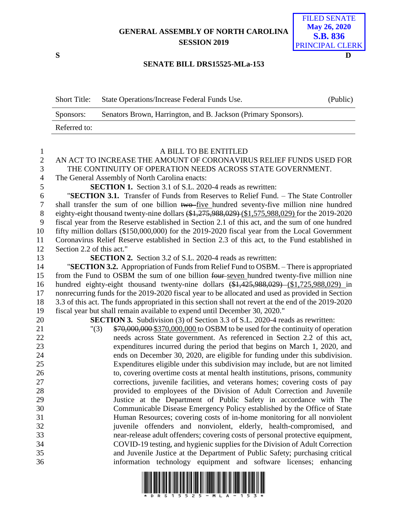## **GENERAL ASSEMBLY OF NORTH CAROLINA SESSION 2019**

**S D**

| <b>FILED SENATE</b> |
|---------------------|
| <b>May 26, 2020</b> |
| <b>S.B. 836</b>     |
| PRINCIPAL CLERK     |

## **SENATE BILL DRS15525-MLa-153**

| <b>Short Title:</b> | State Operations/Increase Federal Funds Use.                   | (Public) |
|---------------------|----------------------------------------------------------------|----------|
| Sponsors:           | Senators Brown, Harrington, and B. Jackson (Primary Sponsors). |          |
| Referred to:        |                                                                |          |

| $\mathbf{1}$        | A BILL TO BE ENTITLED                                                                                                                                                                       |
|---------------------|---------------------------------------------------------------------------------------------------------------------------------------------------------------------------------------------|
| $\overline{2}$      | AN ACT TO INCREASE THE AMOUNT OF CORONAVIRUS RELIEF FUNDS USED FOR                                                                                                                          |
| 3                   | THE CONTINUITY OF OPERATION NEEDS ACROSS STATE GOVERNMENT.                                                                                                                                  |
| $\overline{4}$      | The General Assembly of North Carolina enacts:                                                                                                                                              |
| 5                   | <b>SECTION 1.</b> Section 3.1 of S.L. 2020-4 reads as rewritten:                                                                                                                            |
| 6                   | "SECTION 3.1. Transfer of Funds from Reserves to Relief Fund. - The State Controller                                                                                                        |
| $\overline{7}$<br>8 | shall transfer the sum of one billion two-five hundred seventy-five million nine hundred<br>eighty-eight thousand twenty-nine dollars (\$1,275,988,029) (\$1,575,988,029) for the 2019-2020 |
| 9                   | fiscal year from the Reserve established in Section 2.1 of this act, and the sum of one hundred                                                                                             |
| 10                  | fifty million dollars (\$150,000,000) for the 2019-2020 fiscal year from the Local Government                                                                                               |
| 11                  | Coronavirus Relief Reserve established in Section 2.3 of this act, to the Fund established in                                                                                               |
| 12                  | Section 2.2 of this act."                                                                                                                                                                   |
| 13                  | <b>SECTION 2.</b> Section 3.2 of S.L. 2020-4 reads as rewritten:                                                                                                                            |
| 14                  | "SECTION 3.2. Appropriation of Funds from Relief Fund to OSBM. – There is appropriated                                                                                                      |
| 15                  | from the Fund to OSBM the sum of one billion four-seven hundred twenty-five million nine                                                                                                    |
| 16                  | hundred eighty-eight thousand twenty-nine dollars $(\frac{1}{2}, 425, 988, 029)$ $(\frac{1}{2}, 725, 988, 029)$ in                                                                          |
| 17                  | nonrecurring funds for the 2019-2020 fiscal year to be allocated and used as provided in Section                                                                                            |
| 18                  | 3.3 of this act. The funds appropriated in this section shall not revert at the end of the 2019-2020                                                                                        |
| 19                  | fiscal year but shall remain available to expend until December 30, 2020."                                                                                                                  |
| 20                  | <b>SECTION 3.</b> Subdivision (3) of Section 3.3 of S.L. 2020-4 reads as rewritten:                                                                                                         |
| 21                  | \$70,000,000 \$370,000,000 to OSBM to be used for the continuity of operation<br>"(3)                                                                                                       |
| 22                  | needs across State government. As referenced in Section 2.2 of this act,                                                                                                                    |
| 23                  | expenditures incurred during the period that begins on March 1, 2020, and                                                                                                                   |
| 24                  | ends on December 30, 2020, are eligible for funding under this subdivision.                                                                                                                 |
| 25                  | Expenditures eligible under this subdivision may include, but are not limited                                                                                                               |
| 26                  | to, covering overtime costs at mental health institutions, prisons, community                                                                                                               |
| 27                  | corrections, juvenile facilities, and veterans homes; covering costs of pay                                                                                                                 |
| 28                  | provided to employees of the Division of Adult Correction and Juvenile                                                                                                                      |
| 29                  | Justice at the Department of Public Safety in accordance with The                                                                                                                           |
| 30<br>31            | Communicable Disease Emergency Policy established by the Office of State                                                                                                                    |
| 32                  | Human Resources; covering costs of in-home monitoring for all nonviolent<br>juvenile offenders and nonviolent, elderly, health-compromised, and                                             |
| 33                  | near-release adult offenders; covering costs of personal protective equipment,                                                                                                              |
| 34                  | COVID-19 testing, and hygienic supplies for the Division of Adult Correction                                                                                                                |
| 35                  | and Juvenile Justice at the Department of Public Safety; purchasing critical                                                                                                                |
| 36                  | information technology equipment and software licenses; enhancing                                                                                                                           |
|                     |                                                                                                                                                                                             |